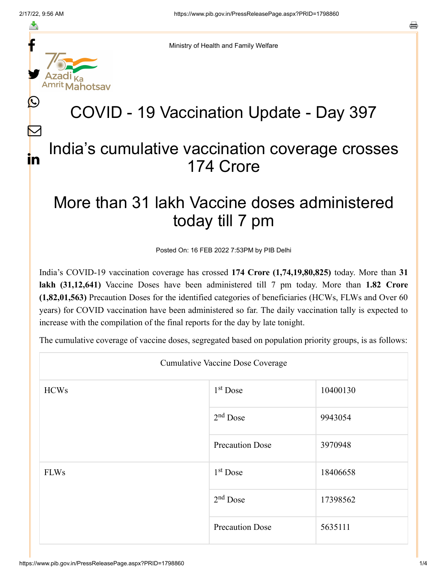f

≛

y.

 $\mathbf{\Omega}$ 

 $\bm{\nabla}$ 

in



## COVID - 19 Vaccination Update - Day 397

## India's cumulative vaccination coverage crosses 174 Crore

## More than 31 lakh Vaccine doses administered today till 7 pm

Posted On: 16 FEB 2022 7:53PM by PIB Delhi

India's COVID-19 vaccination coverage has crossed **174 Crore (1,74,19,80,825)** today. More than **31 lakh (31,12,641)** Vaccine Doses have been administered till 7 pm today. More than **1.82 Crore (1,82,01,563)** Precaution Doses for the identified categories of beneficiaries (HCWs, FLWs and Over 60 years) for COVID vaccination have been administered so far. The daily vaccination tally is expected to increase with the compilation of the final reports for the day by late tonight.

The cumulative coverage of vaccine doses, segregated based on population priority groups, is as follows:

| <b>Cumulative Vaccine Dose Coverage</b> |                        |          |  |  |
|-----------------------------------------|------------------------|----------|--|--|
| <b>HCWs</b>                             | $1st$ Dose             | 10400130 |  |  |
|                                         | $2nd$ Dose             | 9943054  |  |  |
|                                         | <b>Precaution Dose</b> | 3970948  |  |  |
| <b>FLWs</b>                             | $1st$ Dose             | 18406658 |  |  |
|                                         | $2nd$ Dose             | 17398562 |  |  |
|                                         | <b>Precaution Dose</b> | 5635111  |  |  |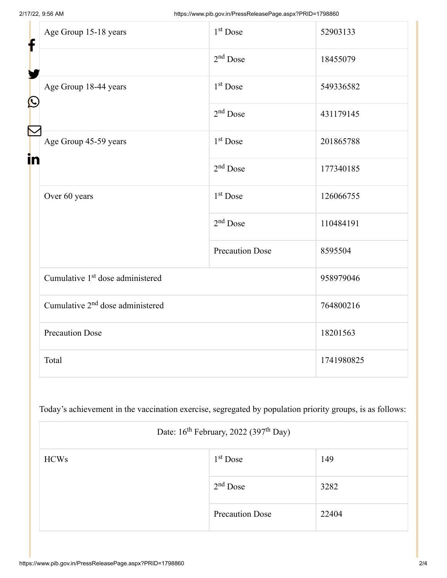| f<br>$\bf \Omega$<br>in | Age Group 15-18 years                        | $1st$ Dose             | 52903133   |
|-------------------------|----------------------------------------------|------------------------|------------|
|                         |                                              | $2nd$ Dose             | 18455079   |
|                         | Age Group 18-44 years                        | $1st$ Dose             | 549336582  |
|                         |                                              | $2nd$ Dose             | 431179145  |
|                         | Age Group 45-59 years                        | 1 <sup>st</sup> Dose   | 201865788  |
|                         |                                              | $2nd$ Dose             | 177340185  |
|                         | Over 60 years                                | 1 <sup>st</sup> Dose   | 126066755  |
|                         |                                              | $2nd$ Dose             | 110484191  |
|                         |                                              | <b>Precaution Dose</b> | 8595504    |
|                         | Cumulative 1 <sup>st</sup> dose administered |                        | 958979046  |
|                         | Cumulative 2 <sup>nd</sup> dose administered |                        | 764800216  |
|                         | <b>Precaution Dose</b>                       |                        | 18201563   |
|                         | Total                                        |                        | 1741980825 |

Today's achievement in the vaccination exercise, segregated by population priority groups, is as follows:

| Date: 16 <sup>th</sup> February, 2022 (397 <sup>th</sup> Day) |                        |       |  |  |
|---------------------------------------------------------------|------------------------|-------|--|--|
| <b>HCWs</b>                                                   | $1st$ Dose             | 149   |  |  |
|                                                               | $2nd$ Dose             | 3282  |  |  |
|                                                               | <b>Precaution Dose</b> | 22404 |  |  |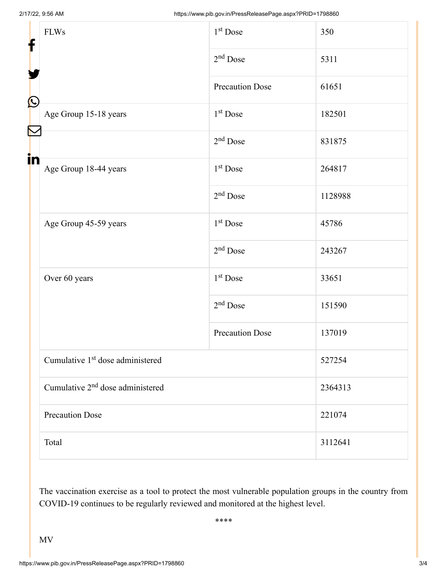| f            | <b>FLWs</b>                                  | 1 <sup>st</sup> Dose   | 350     |  |
|--------------|----------------------------------------------|------------------------|---------|--|
|              |                                              | $2nd$ Dose             | 5311    |  |
|              |                                              | <b>Precaution Dose</b> | 61651   |  |
| $\bf \Omega$ | Age Group 15-18 years                        | 1 <sup>st</sup> Dose   | 182501  |  |
| in           |                                              | $2nd$ Dose             | 831875  |  |
|              | Age Group 18-44 years                        | 1 <sup>st</sup> Dose   | 264817  |  |
|              |                                              | $2nd$ Dose             | 1128988 |  |
|              | Age Group 45-59 years                        | 1 <sup>st</sup> Dose   | 45786   |  |
|              |                                              | $2nd$ Dose             | 243267  |  |
|              | Over 60 years                                | 1 <sup>st</sup> Dose   | 33651   |  |
|              |                                              | $2nd$ Dose             | 151590  |  |
|              |                                              | <b>Precaution Dose</b> | 137019  |  |
|              | Cumulative 1 <sup>st</sup> dose administered |                        | 527254  |  |
|              | Cumulative 2 <sup>nd</sup> dose administered |                        | 2364313 |  |
|              | <b>Precaution Dose</b>                       |                        | 221074  |  |
|              | Total                                        |                        | 3112641 |  |

The vaccination exercise as a tool to protect the most vulnerable population groups in the country from COVID-19 continues to be regularly reviewed and monitored at the highest level.

\*\*\*\*

MV